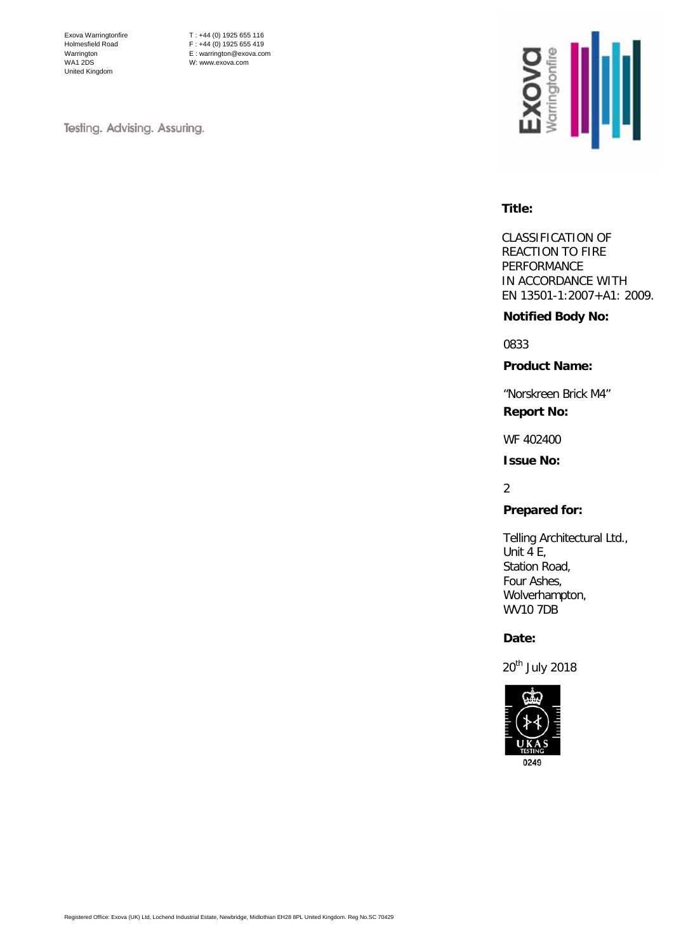Exova Warringtonfire Holmesfield Road Warrington WA1 2DS United Kingdom

T : +44 (0) 1925 655 116  $F : +44 (0) 1925 655 419$ E : warrington@exova.com W: www.exova.com

Testing. Advising. Assuring.



#### **Title:**

CLASSIFICATION OF REACTION TO FIRE PERFORMANCE IN ACCORDANCE WITH EN 13501-1:2007+A1: 2009.

### **Notified Body No:**

0833

**Product Name:**

"Norskreen Brick M4" **Report No:**

WF 402400

**Issue No:**

## 2

# **Prepared for:**

Telling Architectural Ltd., Unit 4 E, Station Road, Four Ashes, Wolverhampton, WV10 7DB

# **Date:**

20<sup>th</sup> July 2018

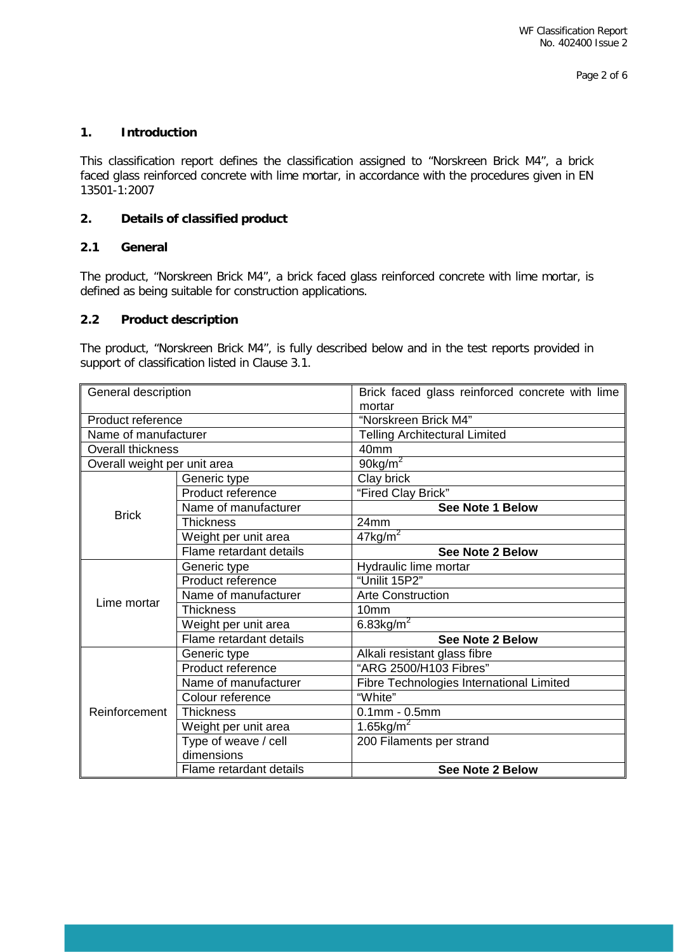# **1. Introduction**

This classification report defines the classification assigned to "Norskreen Brick M4", a brick faced glass reinforced concrete with lime mortar, in accordance with the procedures given in EN 13501-1:2007

# **2. Details of classified product**

# **2.1 General**

The product, "Norskreen Brick M4", a brick faced glass reinforced concrete with lime mortar, is defined as being suitable for construction applications.

#### **2.2 Product description**

The product, "Norskreen Brick M4", is fully described below and in the test reports provided in support of classification listed in Clause 3.1.

| General description          |                         | Brick faced glass reinforced concrete with lime |  |
|------------------------------|-------------------------|-------------------------------------------------|--|
|                              |                         | mortar                                          |  |
| Product reference            |                         | "Norskreen Brick M4"                            |  |
| Name of manufacturer         |                         | <b>Telling Architectural Limited</b>            |  |
| <b>Overall thickness</b>     |                         | 40 <sub>mm</sub>                                |  |
| Overall weight per unit area |                         | 90 $kg/m^2$                                     |  |
|                              | Generic type            | Clay brick                                      |  |
|                              | Product reference       | "Fired Clay Brick"                              |  |
| <b>Brick</b>                 | Name of manufacturer    | See Note 1 Below                                |  |
|                              | Thickness               | 24mm                                            |  |
|                              | Weight per unit area    | $47$ kg/m <sup>2</sup>                          |  |
|                              | Flame retardant details | <b>See Note 2 Below</b>                         |  |
|                              | Generic type            | Hydraulic lime mortar                           |  |
|                              | Product reference       | "Unilit 15P2"                                   |  |
| Lime mortar                  | Name of manufacturer    | <b>Arte Construction</b>                        |  |
|                              | Thickness               | 10 <sub>mm</sub>                                |  |
|                              | Weight per unit area    | 6.83 $kg/m2$                                    |  |
|                              | Flame retardant details | <b>See Note 2 Below</b>                         |  |
|                              | Generic type            | Alkali resistant glass fibre                    |  |
|                              | Product reference       | "ARG 2500/H103 Fibres"                          |  |
| Reinforcement                | Name of manufacturer    | Fibre Technologies International Limited        |  |
|                              | Colour reference        | "White"                                         |  |
|                              | Thickness               | $0.1$ mm - $0.5$ mm                             |  |
|                              | Weight per unit area    | 1.65 $kg/m2$                                    |  |
|                              | Type of weave / cell    | 200 Filaments per strand                        |  |
|                              | dimensions              |                                                 |  |
|                              | Flame retardant details | <b>See Note 2 Below</b>                         |  |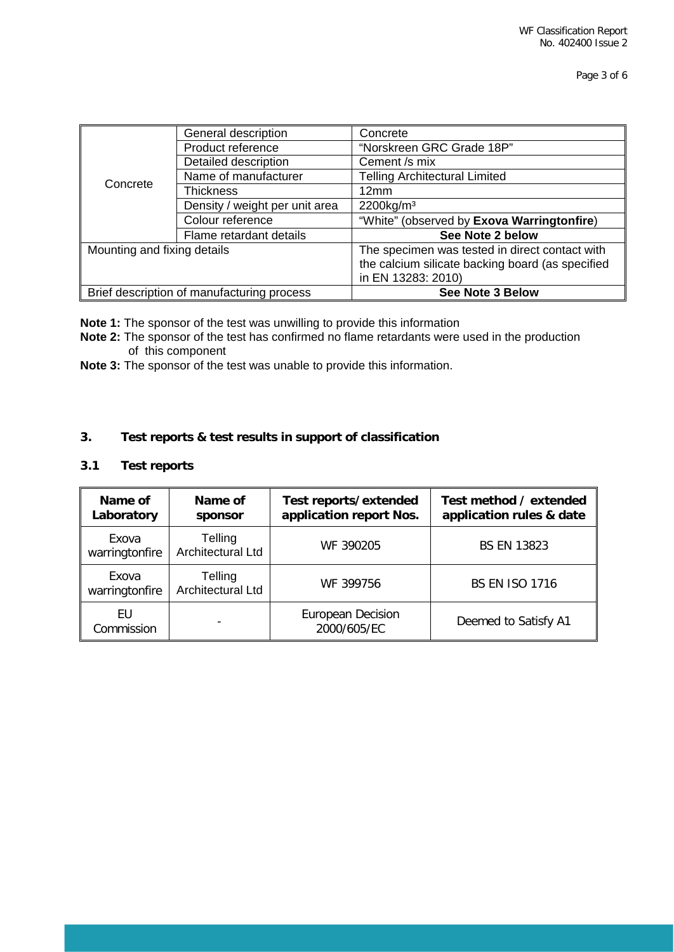| Concrete                                   | General description            | Concrete                                         |  |
|--------------------------------------------|--------------------------------|--------------------------------------------------|--|
|                                            | Product reference              | "Norskreen GRC Grade 18P"                        |  |
|                                            | Detailed description           | Cement /s mix                                    |  |
|                                            | Name of manufacturer           | <b>Telling Architectural Limited</b>             |  |
|                                            | Thickness                      | 12mm                                             |  |
|                                            | Density / weight per unit area | $2200$ kg/m <sup>3</sup>                         |  |
|                                            | Colour reference               | "White" (observed by Exova Warringtonfire)       |  |
|                                            | Flame retardant details        | See Note 2 below                                 |  |
| Mounting and fixing details                |                                | The specimen was tested in direct contact with   |  |
|                                            |                                | the calcium silicate backing board (as specified |  |
|                                            |                                | in EN 13283: 2010)                               |  |
| Brief description of manufacturing process |                                | See Note 3 Below                                 |  |

**Note 1:** The sponsor of the test was unwilling to provide this information

- **Note 2:** The sponsor of the test has confirmed no flame retardants were used in the production of this component
- **Note 3:** The sponsor of the test was unable to provide this information.

# **3. Test reports & test results in support of classification**

# **3.1 Test reports**

| Name of<br>Laboratory   | Name of<br>sponsor                  | Test reports/extended<br>application report Nos. | Test method / extended<br>application rules & date |
|-------------------------|-------------------------------------|--------------------------------------------------|----------------------------------------------------|
| Exova<br>warringtonfire | Telling<br>Architectural Ltd        | WF 390205                                        | <b>BS EN 13823</b>                                 |
| Exova<br>warringtonfire | Telling<br><b>Architectural Ltd</b> | WF 399756                                        | <b>BS EN ISO 1716</b>                              |
| EU<br>Commission        | $\overline{\phantom{0}}$            | <b>European Decision</b><br>2000/605/EC          | Deemed to Satisfy A1                               |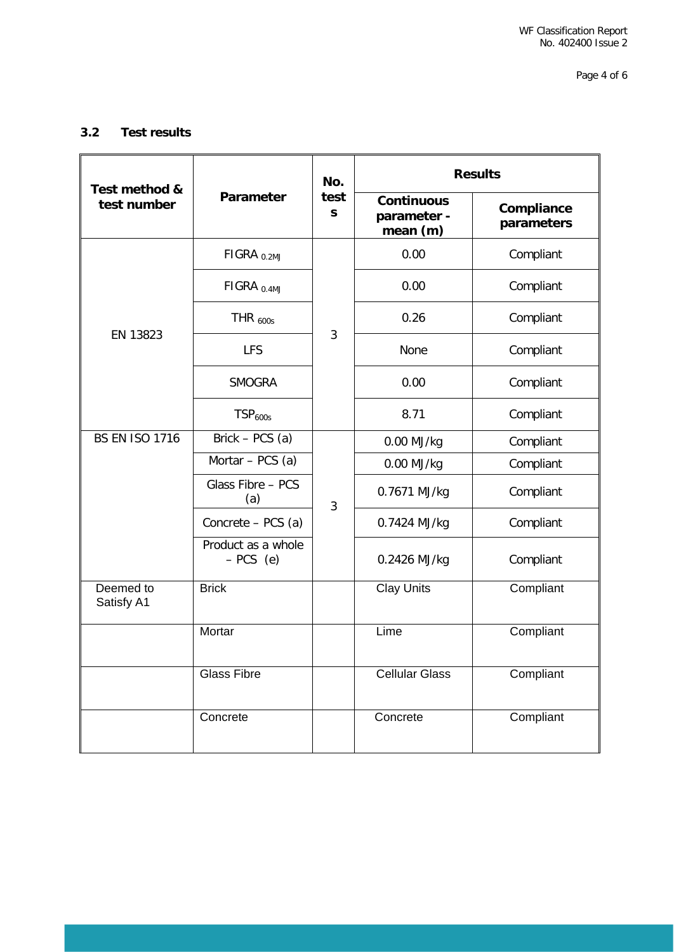Page 4 of 6

# **3.2 Test results**

| Test method &           | <b>Parameter</b>                 | No.<br>test<br>S | <b>Results</b>                               |                          |
|-------------------------|----------------------------------|------------------|----------------------------------------------|--------------------------|
| test number             |                                  |                  | <b>Continuous</b><br>parameter -<br>mean (m) | Compliance<br>parameters |
|                         | $FIGRA_{0.2MJ}$                  |                  | 0.00                                         | Compliant                |
|                         | FIGRA <sub>0.4MJ</sub>           |                  | 0.00                                         | Compliant                |
|                         | THR $_{600s}$                    |                  | 0.26                                         | Compliant                |
| EN 13823                | <b>LFS</b>                       | 3                | None                                         | Compliant                |
|                         | <b>SMOGRA</b>                    |                  | 0.00                                         | Compliant                |
|                         | TSP <sub>600s</sub>              |                  | 8.71                                         | Compliant                |
| <b>BS EN ISO 1716</b>   | Brick – $PCS$ (a)                |                  | 0.00 MJ/kg                                   | Compliant                |
|                         | Mortar - PCS (a)                 |                  | 0.00 MJ/kg                                   | Compliant                |
|                         | Glass Fibre - PCS<br>(a)         | 3                | 0.7671 MJ/kg                                 | Compliant                |
|                         | Concrete - PCS (a)               |                  | 0.7424 MJ/kg                                 | Compliant                |
|                         | Product as a whole<br>$-PCS$ (e) |                  | 0.2426 MJ/kg                                 | Compliant                |
| Deemed to<br>Satisfy A1 | <b>Brick</b>                     |                  | <b>Clay Units</b>                            | Compliant                |
|                         | Mortar                           |                  | Lime                                         | Compliant                |
|                         | <b>Glass Fibre</b>               |                  | <b>Cellular Glass</b>                        | Compliant                |
|                         | Concrete                         |                  | Concrete                                     | Compliant                |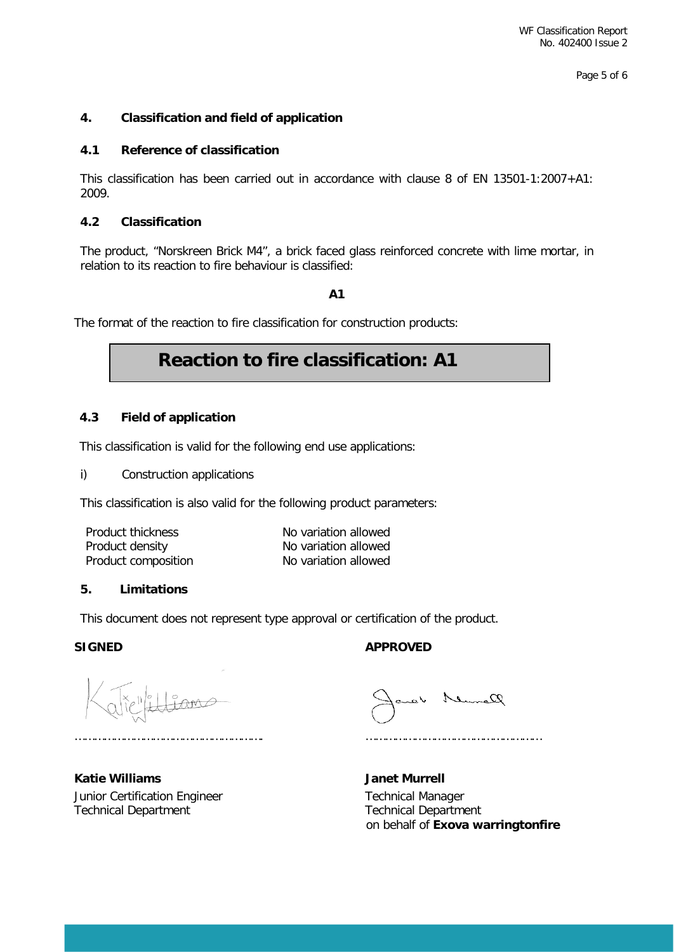Page 5 of 6

#### **4. Classification and field of application**

#### **4.1 Reference of classification**

This classification has been carried out in accordance with clause 8 of EN 13501-1:2007+A1: 2009.

#### **4.2 Classification**

The product, "Norskreen Brick M4", a brick faced glass reinforced concrete with lime mortar, in relation to its reaction to fire behaviour is classified:

**A1**

The format of the reaction to fire classification for construction products:

# **Reaction to fire classification: A1**

# **4.3 Field of application**

This classification is valid for the following end use applications:

i) Construction applications

This classification is also valid for the following product parameters:

| Product thickness   | No variation allowed |
|---------------------|----------------------|
| Product density     | No variation allowed |
| Product composition | No variation allowed |

#### **5. Limitations**

This document does not represent type approval or certification of the product.

SIGNED **APPROVED** 

**Katie Williams Janet Murrell** Junior Certification Engineer Technical Manager Technical Department Technical Department

Remark

…………………………………………………. ………………………………………………

on behalf of **Exova warringtonfire**